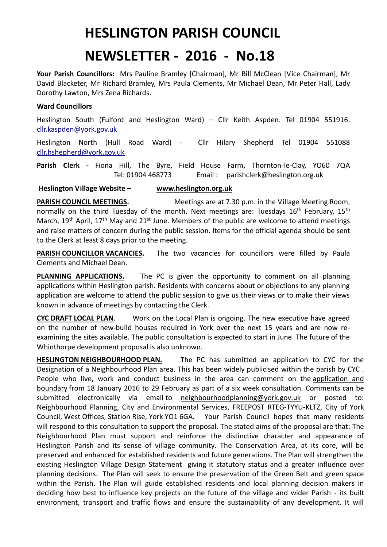## **HESLINGTON PARISH COUNCIL**

## **NEWSLETTER - 2016 - No.18**

**Your Parish Councillors:** Mrs Pauline Bramley [Chairman], Mr Bill McClean [Vice Chairman], Mr David Blacketer, Mr Richard Bramley, Mrs Paula Clements, Mr Michael Dean, Mr Peter Hall, Lady Dorothy Lawton, Mrs Zena Richards.

## **Ward Councillors**

Heslington South (Fulford and Heslington Ward) – Cllr Keith Aspden. Tel 01904 551916. [cllr.kaspden@york.gov.uk](mailto:cllr.kaspden@york.gov.uk)

Heslington North (Hull Road Ward) - Cllr Hilary Shepherd Tel 01904 551088 [cllr.hshepherd@york.gov.uk](mailto:cllr.hshepherd@york.gov.uk)

**Parish Clerk -** Fiona Hill, The Byre, Field House Farm, Thornton-le-Clay, YO60 7QA Tel: 01904 468773 Email : parishclerk@heslington.org.uk

**Heslington Village Website – [www.heslington.org.uk](http://www.heslington.org.uk/)**

**PARISH COUNCIL MEETINGS.** Meetings are at 7.30 p.m. in the Village Meeting Room, normally on the third Tuesday of the month. Next meetings are: Tuesdays 16<sup>th</sup> February, 15<sup>th</sup> March, 19<sup>th</sup> April, 17<sup>th</sup> May and 21<sup>st</sup> June. Members of the public are welcome to attend meetings and raise matters of concern during the public session. Items for the official agenda should be sent to the Clerk at least 8 days prior to the meeting.

**PARISH COUNCILLOR VACANCIES.** The two vacancies for councillors were filled by Paula Clements and Michael Dean.

**PLANNING APPLICATIONS.** The PC is given the opportunity to comment on all planning applications within Heslington parish. Residents with concerns about or objections to any planning application are welcome to attend the public session to give us their views or to make their views known in advance of meetings by contacting the Clerk.

**CYC DRAFT LOCAL PLAN**. Work on the Local Plan is ongoing. The new executive have agreed on the number of new-build houses required in York over the next 15 years and are now reexamining the sites available. The public consultation is expected to start in June. The future of the Whinthorpe development proposal is also unknown.

**HESLINGTON NEIGHBOURHOOD PLAN.** The PC has submitted an application to CYC for the Designation of a Neighbourhood Plan area. This has been widely publicised within the parish by CYC . People who live, work and conduct business in the area can comment on the [application and](https://www.york.gov.uk/downloads/file/7323/heslington_neighbourhood_plan_application_and_boundary)  [boundary](https://www.york.gov.uk/downloads/file/7323/heslington_neighbourhood_plan_application_and_boundary) from 18 January 2016 to 29 February as part of a six week consultation. Comments can be submitted electronically via email to [neighbourhoodplanning@york.gov.uk](mailto:neighbourhoodplanning@york.gov.uk) or posted to: Neighbourhood Planning, City and Environmental Services, FREEPOST RTEG-TYYU-KLTZ, City of York Council, West Offices, Station Rise, York YO1 6GA. Your Parish Council hopes that many residents will respond to this consultation to support the proposal. The stated aims of the proposal are that: The Neighbourhood Plan must support and reinforce the distinctive character and appearance of Heslington Parish and its sense of village community. The Conservation Area, at its core, will be preserved and enhanced for established residents and future generations. The Plan will strengthen the existing Heslington Village Design Statement giving it statutory status and a greater influence over planning decisions. The Plan will seek to ensure the preservation of the Green Belt and green space within the Parish. The Plan will guide established residents and local planning decision makers in deciding how best to influence key projects on the future of the village and wider Parish - its built environment, transport and traffic flows and ensure the sustainability of any development. It will